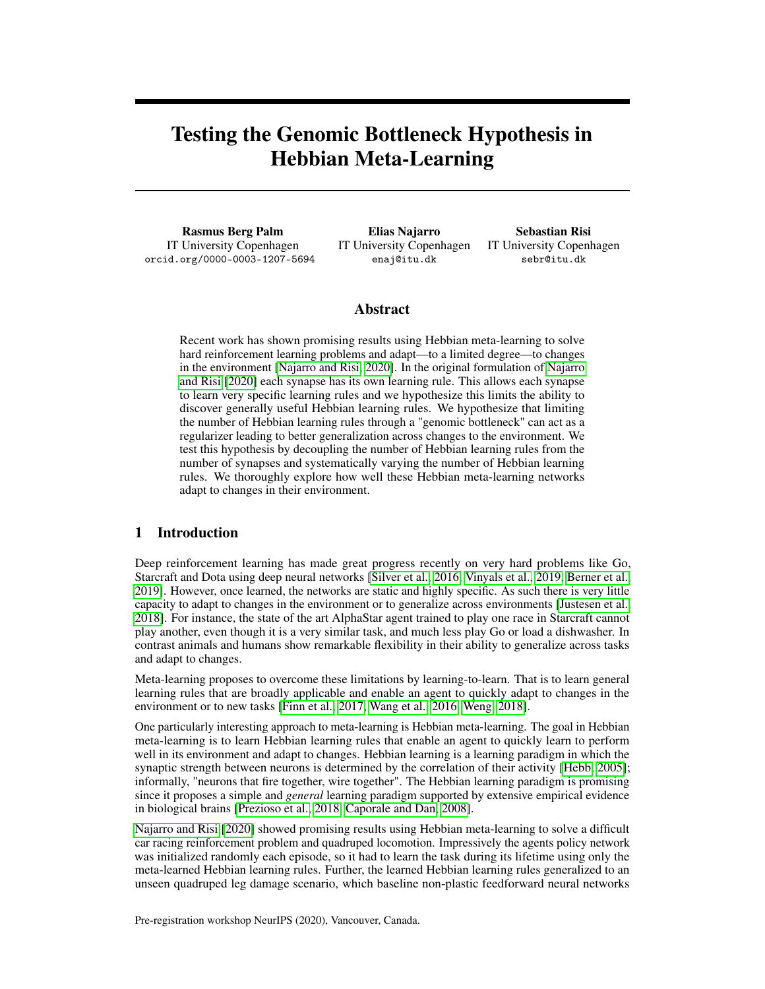# Testing the Genomic Bottleneck Hypothesis in Hebbian Meta-Learning

Rasmus Berg Palm IT University Copenhagen orcid.org/0000-0003-1207-5694

Elias Najarro IT University Copenhagen enaj@itu.dk

Sebastian Risi IT University Copenhagen sebr@itu.dk

## Abstract

Recent work has shown promising results using Hebbian meta-learning to solve hard reinforcement learning problems and adapt—to a limited degree—to changes in the environment [\[Najarro and Risi, 2020\]](#page-4-0). In the original formulation of [Najarro](#page-4-0) [and Risi](#page-4-0) [\[2020\]](#page-4-0) each synapse has its own learning rule. This allows each synapse to learn very specific learning rules and we hypothesize this limits the ability to discover generally useful Hebbian learning rules. We hypothesize that limiting the number of Hebbian learning rules through a "genomic bottleneck" can act as a regularizer leading to better generalization across changes to the environment. We test this hypothesis by decoupling the number of Hebbian learning rules from the number of synapses and systematically varying the number of Hebbian learning rules. We thoroughly explore how well these Hebbian meta-learning networks adapt to changes in their environment.

# 1 Introduction

Deep reinforcement learning has made great progress recently on very hard problems like Go, Starcraft and Dota using deep neural networks [\[Silver et al., 2016,](#page-5-0) [Vinyals et al., 2019,](#page-5-1) [Berner et al.,](#page-4-1) [2019\]](#page-4-1). However, once learned, the networks are static and highly specific. As such there is very little capacity to adapt to changes in the environment or to generalize across environments [\[Justesen et al.,](#page-4-2) [2018\]](#page-4-2). For instance, the state of the art AlphaStar agent trained to play one race in Starcraft cannot play another, even though it is a very similar task, and much less play Go or load a dishwasher. In contrast animals and humans show remarkable flexibility in their ability to generalize across tasks and adapt to changes.

Meta-learning proposes to overcome these limitations by learning-to-learn. That is to learn general learning rules that are broadly applicable and enable an agent to quickly adapt to changes in the environment or to new tasks [\[Finn et al., 2017,](#page-4-3) [Wang et al., 2016,](#page-5-2) [Weng, 2018\]](#page-5-3).

One particularly interesting approach to meta-learning is Hebbian meta-learning. The goal in Hebbian meta-learning is to learn Hebbian learning rules that enable an agent to quickly learn to perform well in its environment and adapt to changes. Hebbian learning is a learning paradigm in which the synaptic strength between neurons is determined by the correlation of their activity [\[Hebb, 2005\]](#page-4-4); informally, "neurons that fire together, wire together". The Hebbian learning paradigm is promising since it proposes a simple and *general* learning paradigm supported by extensive empirical evidence in biological brains [\[Prezioso et al., 2018,](#page-4-5) [Caporale and Dan, 2008\]](#page-4-6).

[Najarro and Risi](#page-4-0) [\[2020\]](#page-4-0) showed promising results using Hebbian meta-learning to solve a difficult car racing reinforcement problem and quadruped locomotion. Impressively the agents policy network was initialized randomly each episode, so it had to learn the task during its lifetime using only the meta-learned Hebbian learning rules. Further, the learned Hebbian learning rules generalized to an unseen quadruped leg damage scenario, which baseline non-plastic feedforward neural networks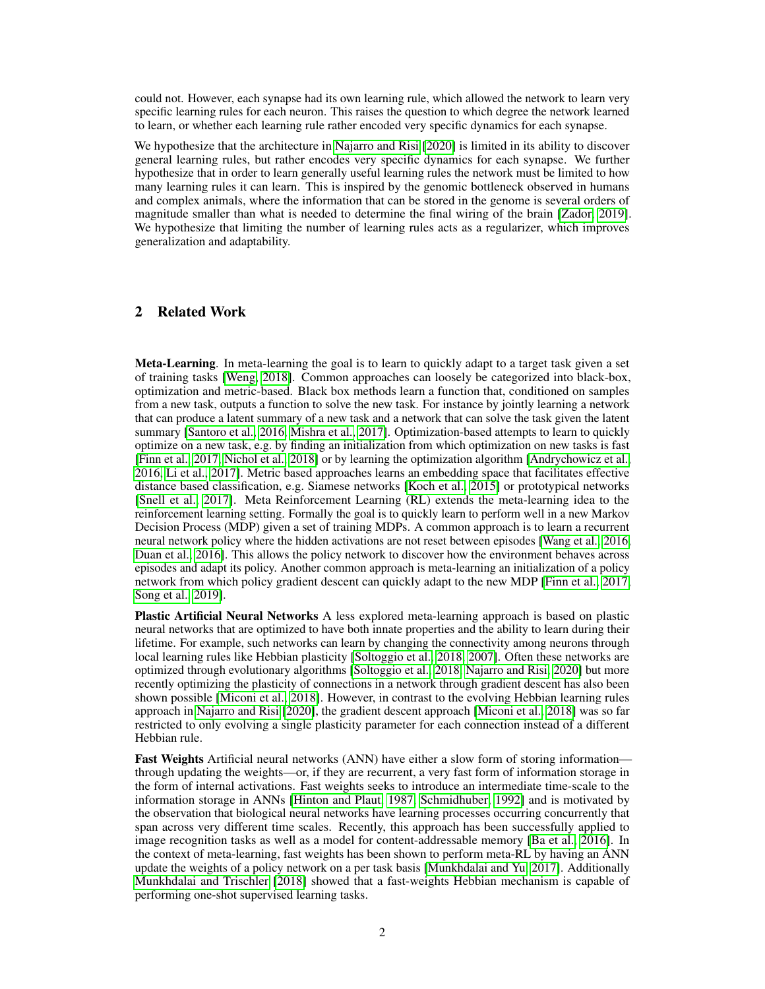could not. However, each synapse had its own learning rule, which allowed the network to learn very specific learning rules for each neuron. This raises the question to which degree the network learned to learn, or whether each learning rule rather encoded very specific dynamics for each synapse.

We hypothesize that the architecture in [Najarro and Risi](#page-4-0) [\[2020\]](#page-4-0) is limited in its ability to discover general learning rules, but rather encodes very specific dynamics for each synapse. We further hypothesize that in order to learn generally useful learning rules the network must be limited to how many learning rules it can learn. This is inspired by the genomic bottleneck observed in humans and complex animals, where the information that can be stored in the genome is several orders of magnitude smaller than what is needed to determine the final wiring of the brain [\[Zador, 2019\]](#page-5-4). We hypothesize that limiting the number of learning rules acts as a regularizer, which improves generalization and adaptability.

## 2 Related Work

Meta-Learning. In meta-learning the goal is to learn to quickly adapt to a target task given a set of training tasks [\[Weng, 2018\]](#page-5-3). Common approaches can loosely be categorized into black-box, optimization and metric-based. Black box methods learn a function that, conditioned on samples from a new task, outputs a function to solve the new task. For instance by jointly learning a network that can produce a latent summary of a new task and a network that can solve the task given the latent summary [\[Santoro et al., 2016,](#page-5-5) [Mishra et al., 2017\]](#page-4-7). Optimization-based attempts to learn to quickly optimize on a new task, e.g. by finding an initialization from which optimization on new tasks is fast [\[Finn et al., 2017,](#page-4-3) [Nichol et al., 2018\]](#page-4-8) or by learning the optimization algorithm [\[Andrychowicz et al.,](#page-4-9) [2016,](#page-4-9) [Li et al., 2017\]](#page-4-10). Metric based approaches learns an embedding space that facilitates effective distance based classification, e.g. Siamese networks [\[Koch et al., 2015\]](#page-4-11) or prototypical networks [\[Snell et al., 2017\]](#page-5-6). Meta Reinforcement Learning (RL) extends the meta-learning idea to the reinforcement learning setting. Formally the goal is to quickly learn to perform well in a new Markov Decision Process (MDP) given a set of training MDPs. A common approach is to learn a recurrent neural network policy where the hidden activations are not reset between episodes [\[Wang et al., 2016,](#page-5-2) [Duan et al., 2016\]](#page-4-12). This allows the policy network to discover how the environment behaves across episodes and adapt its policy. Another common approach is meta-learning an initialization of a policy network from which policy gradient descent can quickly adapt to the new MDP [\[Finn et al., 2017,](#page-4-3) [Song et al., 2019\]](#page-5-7).

Plastic Artificial Neural Networks A less explored meta-learning approach is based on plastic neural networks that are optimized to have both innate properties and the ability to learn during their lifetime. For example, such networks can learn by changing the connectivity among neurons through local learning rules like Hebbian plasticity [\[Soltoggio et al., 2018,](#page-5-8) [2007\]](#page-5-9). Often these networks are optimized through evolutionary algorithms [\[Soltoggio et al., 2018,](#page-5-8) [Najarro and Risi, 2020\]](#page-4-0) but more recently optimizing the plasticity of connections in a network through gradient descent has also been shown possible [\[Miconi et al., 2018\]](#page-4-13). However, in contrast to the evolving Hebbian learning rules approach in [Najarro and Risi](#page-4-0) [\[2020\]](#page-4-0), the gradient descent approach [\[Miconi et al., 2018\]](#page-4-13) was so far restricted to only evolving a single plasticity parameter for each connection instead of a different Hebbian rule.

Fast Weights Artificial neural networks (ANN) have either a slow form of storing information through updating the weights—or, if they are recurrent, a very fast form of information storage in the form of internal activations. Fast weights seeks to introduce an intermediate time-scale to the information storage in ANNs [\[Hinton and Plaut, 1987,](#page-4-14) [Schmidhuber, 1992\]](#page-5-10) and is motivated by the observation that biological neural networks have learning processes occurring concurrently that span across very different time scales. Recently, this approach has been successfully applied to image recognition tasks as well as a model for content-addressable memory [\[Ba et al., 2016\]](#page-4-15). In the context of meta-learning, fast weights has been shown to perform meta-RL by having an ANN update the weights of a policy network on a per task basis [\[Munkhdalai and Yu, 2017\]](#page-4-16). Additionally [Munkhdalai and Trischler](#page-4-17) [\[2018\]](#page-4-17) showed that a fast-weights Hebbian mechanism is capable of performing one-shot supervised learning tasks.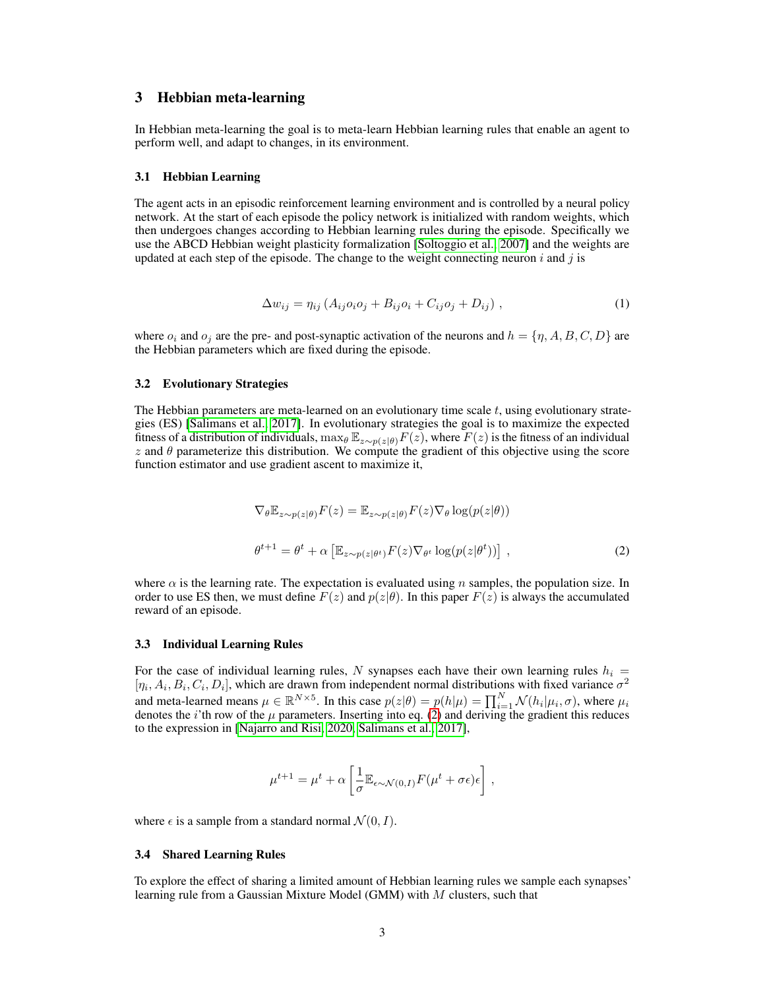# 3 Hebbian meta-learning

In Hebbian meta-learning the goal is to meta-learn Hebbian learning rules that enable an agent to perform well, and adapt to changes, in its environment.

#### 3.1 Hebbian Learning

The agent acts in an episodic reinforcement learning environment and is controlled by a neural policy network. At the start of each episode the policy network is initialized with random weights, which then undergoes changes according to Hebbian learning rules during the episode. Specifically we use the ABCD Hebbian weight plasticity formalization [\[Soltoggio et al., 2007\]](#page-5-9) and the weights are updated at each step of the episode. The change to the weight connecting neuron i and j is

$$
\Delta w_{ij} = \eta_{ij} \left( A_{ij} o_i o_j + B_{ij} o_i + C_{ij} o_j + D_{ij} \right) , \qquad (1)
$$

where  $o_i$  and  $o_j$  are the pre- and post-synaptic activation of the neurons and  $h = \{ \eta, A, B, C, D \}$  are the Hebbian parameters which are fixed during the episode.

#### 3.2 Evolutionary Strategies

The Hebbian parameters are meta-learned on an evolutionary time scale  $t$ , using evolutionary strategies (ES) [\[Salimans et al., 2017\]](#page-5-11). In evolutionary strategies the goal is to maximize the expected fitness of a distribution of individuals,  $\max_{\theta} \mathbb{E}_{z \sim p(z|\theta)} F(z)$ , where  $F(z)$  is the fitness of an individual  $z$  and  $\theta$  parameterize this distribution. We compute the gradient of this objective using the score function estimator and use gradient ascent to maximize it,

<span id="page-2-0"></span>
$$
\nabla_{\theta} \mathbb{E}_{z \sim p(z|\theta)} F(z) = \mathbb{E}_{z \sim p(z|\theta)} F(z) \nabla_{\theta} \log(p(z|\theta))
$$
  

$$
\theta^{t+1} = \theta^t + \alpha \left[ \mathbb{E}_{z \sim p(z|\theta^t)} F(z) \nabla_{\theta^t} \log(p(z|\theta^t)) \right],
$$
 (2)

where  $\alpha$  is the learning rate. The expectation is evaluated using n samples, the population size. In order to use ES then, we must define  $F(z)$  and  $p(z|\theta)$ . In this paper  $F(z)$  is always the accumulated reward of an episode.

#### 3.3 Individual Learning Rules

For the case of individual learning rules, N synapses each have their own learning rules  $h_i =$  $[\eta_i, A_i, B_i, C_i, D_i]$ , which are drawn from independent normal distributions with fixed variance  $\sigma^2$ and meta-learned means  $\mu \in \mathbb{R}^{N \times 5}$ . In this case  $p(z|\theta) = p(h|\mu) = \prod_{i=1}^{N} \mathcal{N}(h_i|\mu_i, \sigma)$ , where  $\mu_i$ denotes the *i*'th row of the  $\mu$  parameters. Inserting into eq. [\(2\)](#page-2-0) and deriving the gradient this reduces to the expression in [\[Najarro and Risi, 2020,](#page-4-0) [Salimans et al., 2017\]](#page-5-11),

$$
\mu^{t+1} = \mu^t + \alpha \left[ \frac{1}{\sigma} \mathbb{E}_{\epsilon \sim \mathcal{N}(0,I)} F(\mu^t + \sigma \epsilon) \epsilon \right],
$$

where  $\epsilon$  is a sample from a standard normal  $\mathcal{N}(0, I)$ .

#### 3.4 Shared Learning Rules

To explore the effect of sharing a limited amount of Hebbian learning rules we sample each synapses' learning rule from a Gaussian Mixture Model (GMM) with  $M$  clusters, such that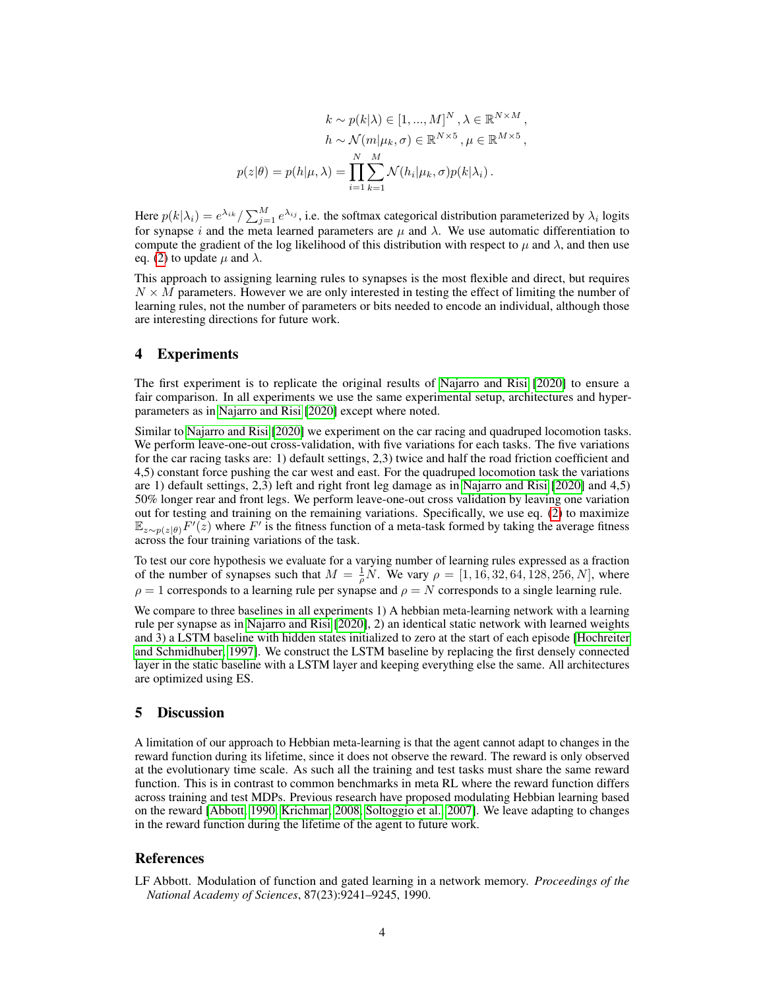$$
k \sim p(k|\lambda) \in [1, ..., M]^N, \lambda \in \mathbb{R}^{N \times M},
$$

$$
h \sim \mathcal{N}(m|\mu_k, \sigma) \in \mathbb{R}^{N \times 5}, \mu \in \mathbb{R}^{M \times 5},
$$

$$
p(z|\theta) = p(h|\mu, \lambda) = \prod_{i=1}^N \sum_{k=1}^M \mathcal{N}(h_i|\mu_k, \sigma) p(k|\lambda_i).
$$

Here  $p(k|\lambda_i) = e^{\lambda_{ik}} / \sum_{j=1}^{M} e^{\lambda_{ij}}$ , i.e. the softmax categorical distribution parameterized by  $\lambda_i$  logits for synapse i and the meta learned parameters are  $\mu$  and  $\lambda$ . We use automatic differentiation to compute the gradient of the log likelihood of this distribution with respect to  $\mu$  and  $\lambda$ , and then use eq. [\(2\)](#page-2-0) to update  $\mu$  and  $\lambda$ .

This approach to assigning learning rules to synapses is the most flexible and direct, but requires  $N \times M$  parameters. However we are only interested in testing the effect of limiting the number of learning rules, not the number of parameters or bits needed to encode an individual, although those are interesting directions for future work.

### 4 Experiments

The first experiment is to replicate the original results of [Najarro and Risi](#page-4-0) [\[2020\]](#page-4-0) to ensure a fair comparison. In all experiments we use the same experimental setup, architectures and hyperparameters as in [Najarro and Risi](#page-4-0) [\[2020\]](#page-4-0) except where noted.

Similar to [Najarro and Risi](#page-4-0) [\[2020\]](#page-4-0) we experiment on the car racing and quadruped locomotion tasks. We perform leave-one-out cross-validation, with five variations for each tasks. The five variations for the car racing tasks are: 1) default settings, 2,3) twice and half the road friction coefficient and 4,5) constant force pushing the car west and east. For the quadruped locomotion task the variations are 1) default settings, 2,3) left and right front leg damage as in [Najarro and Risi](#page-4-0) [\[2020\]](#page-4-0) and 4,5) 50% longer rear and front legs. We perform leave-one-out cross validation by leaving one variation out for testing and training on the remaining variations. Specifically, we use eq. [\(2\)](#page-2-0) to maximize  $\mathbb{E}_{z\sim p(z|\theta)}F'(z)$  where F' is the fitness function of a meta-task formed by taking the average fitness across the four training variations of the task.

To test our core hypothesis we evaluate for a varying number of learning rules expressed as a fraction of the number of synapses such that  $M = \frac{1}{\rho} N$ . We vary  $\rho = [1, 16, 32, 64, 128, 256, N]$ , where  $\rho = 1$  corresponds to a learning rule per synapse and  $\rho = N$  corresponds to a single learning rule.

We compare to three baselines in all experiments 1) A hebbian meta-learning network with a learning rule per synapse as in [Najarro and Risi](#page-4-0) [\[2020\]](#page-4-0), 2) an identical static network with learned weights and 3) a LSTM baseline with hidden states initialized to zero at the start of each episode [\[Hochreiter](#page-4-18) [and Schmidhuber, 1997\]](#page-4-18). We construct the LSTM baseline by replacing the first densely connected layer in the static baseline with a LSTM layer and keeping everything else the same. All architectures are optimized using ES.

## 5 Discussion

A limitation of our approach to Hebbian meta-learning is that the agent cannot adapt to changes in the reward function during its lifetime, since it does not observe the reward. The reward is only observed at the evolutionary time scale. As such all the training and test tasks must share the same reward function. This is in contrast to common benchmarks in meta RL where the reward function differs across training and test MDPs. Previous research have proposed modulating Hebbian learning based on the reward [\[Abbott, 1990,](#page-3-0) [Krichmar, 2008,](#page-4-19) [Soltoggio et al., 2007\]](#page-5-9). We leave adapting to changes in the reward function during the lifetime of the agent to future work.

## References

<span id="page-3-0"></span>LF Abbott. Modulation of function and gated learning in a network memory. *Proceedings of the National Academy of Sciences*, 87(23):9241–9245, 1990.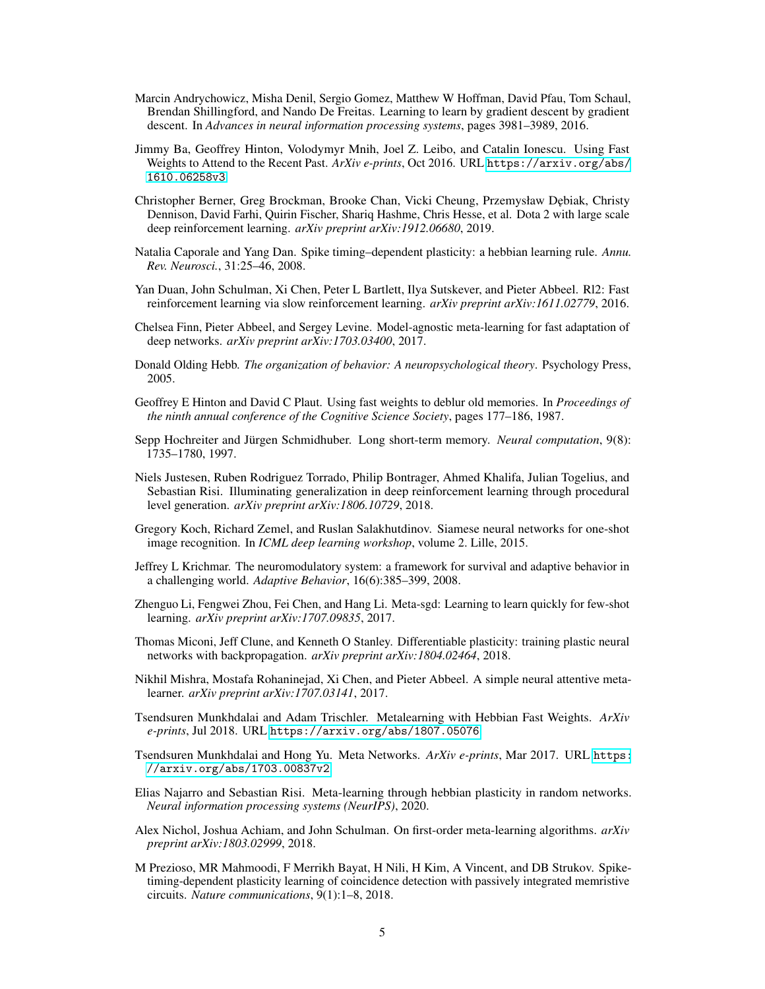- <span id="page-4-9"></span>Marcin Andrychowicz, Misha Denil, Sergio Gomez, Matthew W Hoffman, David Pfau, Tom Schaul, Brendan Shillingford, and Nando De Freitas. Learning to learn by gradient descent by gradient descent. In *Advances in neural information processing systems*, pages 3981–3989, 2016.
- <span id="page-4-15"></span>Jimmy Ba, Geoffrey Hinton, Volodymyr Mnih, Joel Z. Leibo, and Catalin Ionescu. Using Fast Weights to Attend to the Recent Past. *ArXiv e-prints*, Oct 2016. URL [https://arxiv.org/abs/](https://arxiv.org/abs/1610.06258v3) [1610.06258v3](https://arxiv.org/abs/1610.06258v3).
- <span id="page-4-1"></span>Christopher Berner, Greg Brockman, Brooke Chan, Vicki Cheung, Przemysław D˛ebiak, Christy Dennison, David Farhi, Quirin Fischer, Shariq Hashme, Chris Hesse, et al. Dota 2 with large scale deep reinforcement learning. *arXiv preprint arXiv:1912.06680*, 2019.
- <span id="page-4-6"></span>Natalia Caporale and Yang Dan. Spike timing–dependent plasticity: a hebbian learning rule. *Annu. Rev. Neurosci.*, 31:25–46, 2008.
- <span id="page-4-12"></span>Yan Duan, John Schulman, Xi Chen, Peter L Bartlett, Ilya Sutskever, and Pieter Abbeel. Rl2: Fast reinforcement learning via slow reinforcement learning. *arXiv preprint arXiv:1611.02779*, 2016.
- <span id="page-4-3"></span>Chelsea Finn, Pieter Abbeel, and Sergey Levine. Model-agnostic meta-learning for fast adaptation of deep networks. *arXiv preprint arXiv:1703.03400*, 2017.
- <span id="page-4-4"></span>Donald Olding Hebb. *The organization of behavior: A neuropsychological theory*. Psychology Press, 2005.
- <span id="page-4-14"></span>Geoffrey E Hinton and David C Plaut. Using fast weights to deblur old memories. In *Proceedings of the ninth annual conference of the Cognitive Science Society*, pages 177–186, 1987.
- <span id="page-4-18"></span>Sepp Hochreiter and Jürgen Schmidhuber. Long short-term memory. *Neural computation*, 9(8): 1735–1780, 1997.
- <span id="page-4-2"></span>Niels Justesen, Ruben Rodriguez Torrado, Philip Bontrager, Ahmed Khalifa, Julian Togelius, and Sebastian Risi. Illuminating generalization in deep reinforcement learning through procedural level generation. *arXiv preprint arXiv:1806.10729*, 2018.
- <span id="page-4-11"></span>Gregory Koch, Richard Zemel, and Ruslan Salakhutdinov. Siamese neural networks for one-shot image recognition. In *ICML deep learning workshop*, volume 2. Lille, 2015.
- <span id="page-4-19"></span>Jeffrey L Krichmar. The neuromodulatory system: a framework for survival and adaptive behavior in a challenging world. *Adaptive Behavior*, 16(6):385–399, 2008.
- <span id="page-4-10"></span>Zhenguo Li, Fengwei Zhou, Fei Chen, and Hang Li. Meta-sgd: Learning to learn quickly for few-shot learning. *arXiv preprint arXiv:1707.09835*, 2017.
- <span id="page-4-13"></span>Thomas Miconi, Jeff Clune, and Kenneth O Stanley. Differentiable plasticity: training plastic neural networks with backpropagation. *arXiv preprint arXiv:1804.02464*, 2018.
- <span id="page-4-7"></span>Nikhil Mishra, Mostafa Rohaninejad, Xi Chen, and Pieter Abbeel. A simple neural attentive metalearner. *arXiv preprint arXiv:1707.03141*, 2017.
- <span id="page-4-17"></span>Tsendsuren Munkhdalai and Adam Trischler. Metalearning with Hebbian Fast Weights. *ArXiv e-prints*, Jul 2018. URL <https://arxiv.org/abs/1807.05076>.
- <span id="page-4-16"></span>Tsendsuren Munkhdalai and Hong Yu. Meta Networks. *ArXiv e-prints*, Mar 2017. URL [https:](https://arxiv.org/abs/1703.00837v2) [//arxiv.org/abs/1703.00837v2](https://arxiv.org/abs/1703.00837v2).
- <span id="page-4-0"></span>Elias Najarro and Sebastian Risi. Meta-learning through hebbian plasticity in random networks. *Neural information processing systems (NeurIPS)*, 2020.
- <span id="page-4-8"></span>Alex Nichol, Joshua Achiam, and John Schulman. On first-order meta-learning algorithms. *arXiv preprint arXiv:1803.02999*, 2018.
- <span id="page-4-5"></span>M Prezioso, MR Mahmoodi, F Merrikh Bayat, H Nili, H Kim, A Vincent, and DB Strukov. Spiketiming-dependent plasticity learning of coincidence detection with passively integrated memristive circuits. *Nature communications*, 9(1):1–8, 2018.